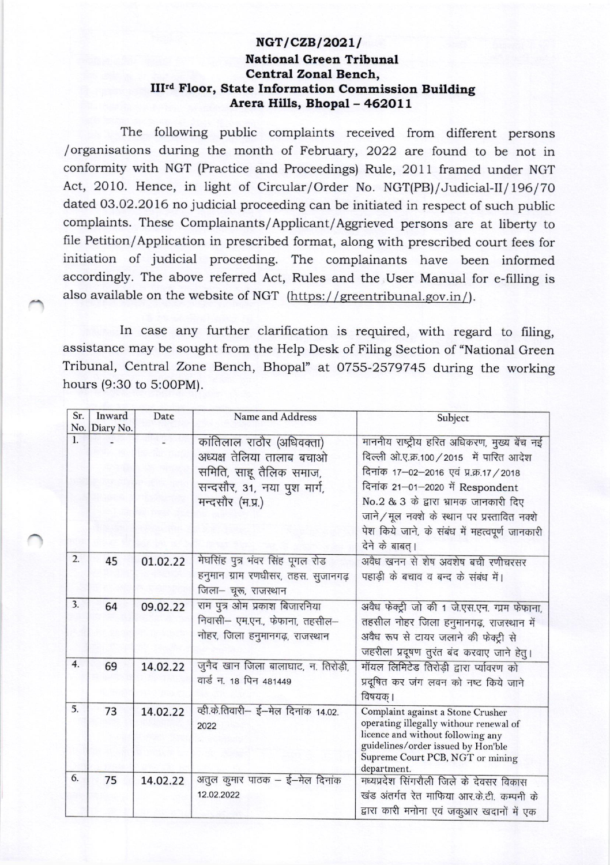## NGT/CZB/2021/ National Green Tribunal Central Zonal Bench, III"d Floor, State Information Commission Building Arera Hills, Bhopal - 462011

The following public complaints received from different persons /organisations during the month of February, 2022 are found to be not in conformity with NGT (Practice and Proceedings) Rule, 2011 framed under NGT Act, 2010. Hence, in light of Circular/Order No. NGT(PB)/Judicial-II/196/70 dated 03.02.2016 no judicial proceeding can be initiated in respect of such public complaints. These Complainants/Applicant/Aggrieved persons are at liberty to file Petition/Application in prescribed format, along with prescribed court fees for initiation of judicial proceeding. The complainants have been informed accordingly. The above referred Act, Rules and the User Manual for e-filling is also available on the website of NGT (https://greentribunal.gov.in/).

In case any further clarification is required, with regard to filing, assistance may be sought from the Help Desk of Filing section of "National Green Tribunal, Central Zone Bench, Bhopal" at 0755-2579745 during the working hours (9:30 to 5:O0PM).

| Sr. | Inward        | Date     | Name and Address                                                                                                                     | Subject                                                                                                                                                                                                                                                                                                                              |
|-----|---------------|----------|--------------------------------------------------------------------------------------------------------------------------------------|--------------------------------------------------------------------------------------------------------------------------------------------------------------------------------------------------------------------------------------------------------------------------------------------------------------------------------------|
|     | No. Diary No. |          |                                                                                                                                      |                                                                                                                                                                                                                                                                                                                                      |
| 1.  |               |          | कांतिलाल राठौर (अधिवक्ता)<br>अध्यक्ष तेलिया तालाब बचाओ<br>समिति, साहू तैलिक समाज,<br>सन्दसौर, 31, नया पुश मार्ग,<br>मन्दसौर (म.प्र.) | माननीय राष्ट्रीय हरित अधिकरण, मुख्य बेंच नई<br>दिल्ली ओ.ए.क्र.100 / 2015 में पारित आदेश<br>दिनांक 17-02-2016 एवं प्र.क्र.17 / 2018<br>दिनांक 21-01-2020 में Respondent<br>No.2 & 3 के द्वारा भ्रामक जानकारी दिए<br>जाने / मूल नक्शे के स्थान पर प्रस्तावित नक्शे<br>पेश किये जाने, के संबंध में महत्वपूर्ण जानकारी<br>देने के बाबत्। |
| 2.  | 45            | 01.02.22 | मेघसिंह पुत्र भंवर सिंह पूगल रोड<br>हनुमान ग्राम रणधीसर, तहस. सुजानगढ़<br>जिला- चूरू, राजस्थान                                       | अवैध खनन से शेष अवशेष बची रणीचरसर<br>पहाड़ी के बचाव व बन्द के संबंध में।                                                                                                                                                                                                                                                             |
| 3.  | 64            | 09.02.22 | राम पुत्र ओम प्रकाश बिजारनिया<br>निवासी- एम.एन., फेफाना, तहसील-<br>नोहर, जिला हनुमानगढ़, राजस्थान                                    | अवैध फेक्ट्री जो की 1 जे.एस.एन. ग्राम फेफाना,<br>तहसील नोहर जिला हनुमानगढ़, राजस्थान में<br>अवैध रूप से टायर जलाने की फेक्ट्री से<br>जहरीला प्रदूषण तुरंत बंद करवाए जाने हेतू।                                                                                                                                                       |
| 4.  | 69            | 14.02.22 | जुनैद खान जिला बालाघाट, न. तिरोड़ी,<br>वार्ड न. 18 पिन 481449                                                                        | मॉयल लिमिटेड तिरोड़ी द्वारा र्प्यावरण को<br>प्रदूषित कर जंग लवन को नष्ट किये जाने<br>विषयक् ।                                                                                                                                                                                                                                        |
| 5.  | 73            | 14.02.22 | व्ही.के.तिवारी- ई-मेल दिनांक 14.02.<br>2022                                                                                          | Complaint against a Stone Crusher<br>operating illegally withour renewal of<br>licence and without following any<br>guidelines/order issued by Hon'ble<br>Supreme Court PCB, NGT or mining<br>department.                                                                                                                            |
| 6.  | 75            | 14.02.22 | अतुल कुमार पाठक – ई–मेल दिनांक<br>12.02.2022                                                                                         | मध्यप्रदेश सिंगरौली जिले के देवसर विकास<br>खंड अंतर्गत रेत माफिया आर.के.टी. कम्पनी के<br>द्वारा कारी मनोना एवं जकुआर खदानों में एक                                                                                                                                                                                                   |